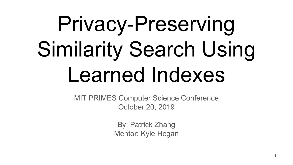# Privacy-Preserving Similarity Search Using Learned Indexes

MIT PRIMES Computer Science Conference October 20, 2019

> By: Patrick Zhang Mentor: Kyle Hogan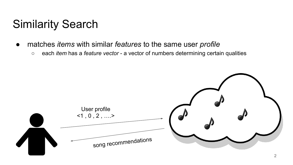# Similarity Search

- matches *items* with similar *features* to the same user *profile*
	- each *item* has a *feature vector*  a vector of numbers determining certain qualities

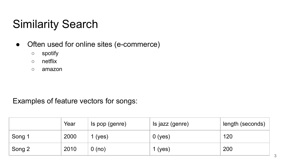# Similarity Search

- Often used for online sites (e-commerce)
	- spotify
	- netflix
	- amazon

Examples of feature vectors for songs:

|        | Year | Is pop (genre) | Is jazz (genre) | length (seconds) |
|--------|------|----------------|-----------------|------------------|
| Song 1 | 2000 | 1 (yes)        | $0$ (yes)       | 120              |
| Song 2 | 2010 | 0(no)          | 1 (yes)         | 200              |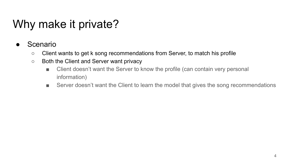# Why make it private?

- **Scenario** 
	- Client wants to get k song recommendations from Server, to match his profile
	- Both the Client and Server want privacy
		- Client doesn't want the Server to know the profile (can contain very personal information)
		- Server doesn't want the Client to learn the model that gives the song recommendations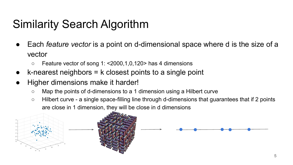# Similarity Search Algorithm

- Each *feature vector* is a point on d-dimensional space where d is the size of a vector
	- $\circ$  Feature vector of song 1: <2000,1,0,120> has 4 dimensions
- $k$ -nearest neighbors = k closest points to a single point
- Higher dimensions make it harder!
	- Map the points of d-dimensions to a 1 dimension using a Hilbert curve
	- Hilbert curve a single space-filling line through d-dimensions that guarantees that if 2 points are close in 1 dimension, they will be close in d dimensions

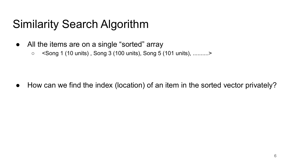# Similarity Search Algorithm

- All the items are on a single "sorted" array
	- <Song 1 (10 units) , Song 3 (100 units), Song 5 (101 units), ..........>

● How can we find the index (location) of an item in the sorted vector privately?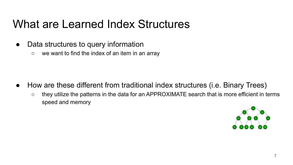## What are Learned Index Structures

- Data structures to query information
	- we want to find the index of an item in an array

- How are these different from traditional index structures (i.e. Binary Trees)
	- they utilize the patterns in the data for an APPROXIMATE search that is more efficient in terms speed and memory

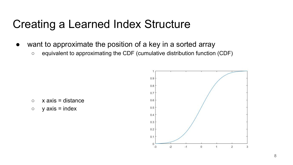#### Creating a Learned Index Structure

- want to approximate the position of a key in a sorted array
	- equivalent to approximating the CDF (cumulative distribution function (CDF)

- $\circ$  x axis = distance
- $\circ$  y axis = index

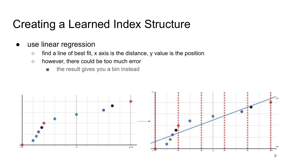#### Creating a Learned Index Structure

- use linear regression
	- $\circ$  find a line of best fit, x axis is the distance, y value is the position
	- however, there could be too much error
		- the result gives you a bin instead



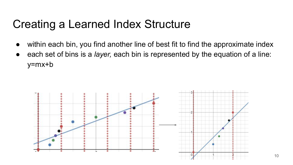#### Creating a Learned Index Structure

- within each bin, you find another line of best fit to find the approximate index
- each set of bins is a *layer*, each bin is represented by the equation of a line: y=mx+b

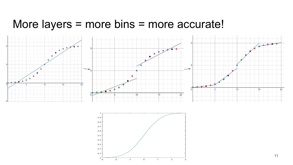#### More layers = more bins = more accurate!



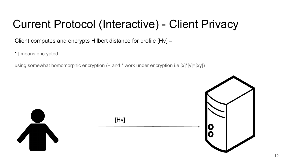Client computes and encrypts Hilbert distance for profile [Hv] =

\*[] means encrypted

using somewhat homomorphic encryption (+ and \* work under encryption i.e [x]\*[y]=[xy])

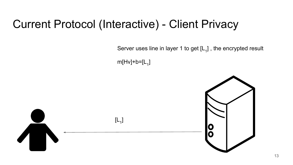Server uses line in layer 1 to get  $\left[{\mathsf L}_{{\mathsf 1}}\right]$  , the encrypted result

m[Hv]+b=[L<sub>1</sub>]

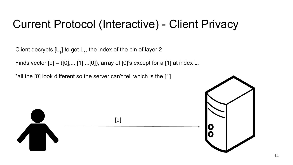Client decrypts [L<sub>1</sub>] to get L<sub>1</sub>, the index of the bin of layer 2

Finds vector  $[q] = ([0],...,[1]...[0])$ , array of  $[0]$ 's except for a [1] at index L<sub>1</sub>

\*all the [0] look different so the server can't tell which is the [1]



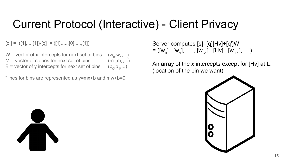$,w_1,...)$ 

 $,m_1,...)$ 

 $(b_1,...)$ 

 $[q'] = ([1], ..., [1]) - [q] = ([1], ..., [0], ..., [1])$ 

 $W =$  vector of x intercepts for next set of bins  $M$  = vector of slopes for next set of bins  $B$  = vector of y intercepts for next set of bins

\*lines for bins are represented as y=mx+b and mw+b=0

Server computes [s]=[q][Hv]+[q']W  $= ([w<sub>0</sub>] , [w<sub>1</sub>], ..., [w<sub>i-1</sub>], [Hv] , [w<sub>i+1</sub>],....)$ 

An array of the x intercepts except for [Hv] at  $L_1$ (location of the bin we want)



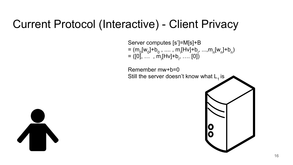

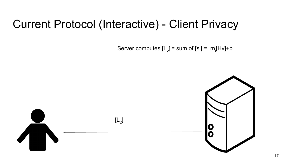Server computes [L<sub>2</sub>] = sum of [s'] =  $m$ <sub>i</sub>[Hv]+b

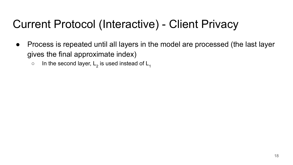- Process is repeated until all layers in the model are processed (the last layer gives the final approximate index)
	- $\circ$  In the second layer, L<sub>2</sub> is used instead of L<sub>1</sub>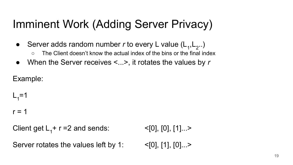# Imminent Work (Adding Server Privacy)

• Server adds random number  $r$  to every L value  $(L_1, L_2, ...)$ ○ The Client doesn't know the actual index of the bins or the final index

● When the Server receives <...>, it rotates the values by *r*

Example:

 $L_1=1$ 

#### $r = 1$

Client get  $L_1 + r = 2$  and sends:  $\leq [0], [0], [1]...$ 

Server rotates the values left by 1:  $\leq$  [0], [1], [0]...>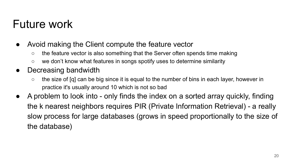#### Future work

- Avoid making the Client compute the feature vector
	- the feature vector is also something that the Server often spends time making
	- we don't know what features in songs spotify uses to determine similarity
- Decreasing bandwidth
	- the size of [q] can be big since it is equal to the number of bins in each layer, however in practice it's usually around 10 which is not so bad
- A problem to look into only finds the index on a sorted array quickly, finding the k nearest neighbors requires PIR (Private Information Retrieval) - a really slow process for large databases (grows in speed proportionally to the size of the database)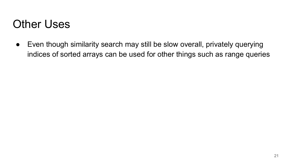#### Other Uses

● Even though similarity search may still be slow overall, privately querying indices of sorted arrays can be used for other things such as range queries